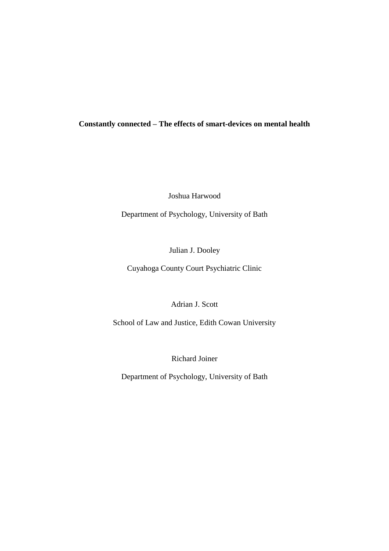## **Constantly connected – The effects of smart-devices on mental health**

Joshua Harwood

Department of Psychology, University of Bath

Julian J. Dooley

Cuyahoga County Court Psychiatric Clinic

Adrian J. Scott

School of Law and Justice, Edith Cowan University

Richard Joiner

Department of Psychology, University of Bath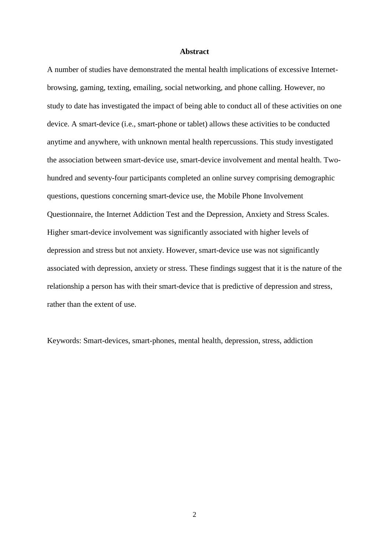#### **Abstract**

A number of studies have demonstrated the mental health implications of excessive Internetbrowsing, gaming, texting, emailing, social networking, and phone calling. However, no study to date has investigated the impact of being able to conduct all of these activities on one device. A smart-device (i.e., smart-phone or tablet) allows these activities to be conducted anytime and anywhere, with unknown mental health repercussions. This study investigated the association between smart-device use, smart-device involvement and mental health. Twohundred and seventy-four participants completed an online survey comprising demographic questions, questions concerning smart-device use, the Mobile Phone Involvement Questionnaire, the Internet Addiction Test and the Depression, Anxiety and Stress Scales. Higher smart-device involvement was significantly associated with higher levels of depression and stress but not anxiety. However, smart-device use was not significantly associated with depression, anxiety or stress. These findings suggest that it is the nature of the relationship a person has with their smart-device that is predictive of depression and stress, rather than the extent of use.

Keywords: Smart-devices, smart-phones, mental health, depression, stress, addiction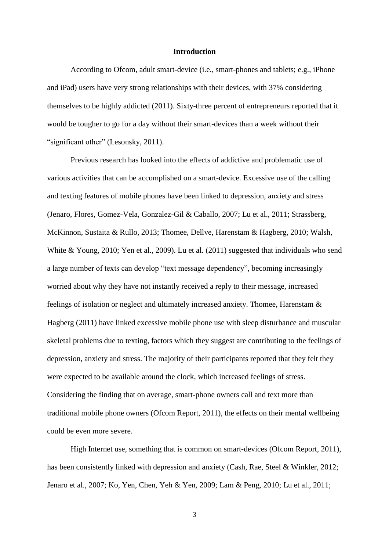#### **Introduction**

According to Ofcom, adult smart-device (i.e., smart-phones and tablets; e.g., iPhone and iPad) users have very strong relationships with their devices, with 37% considering themselves to be highly addicted [\(2011\)](#page-18-0). Sixty-three percent of entrepreneurs reported that it would be tougher to go for a day without their smart-devices than a week without their "significant other" [\(Lesonsky, 2011\)](#page-18-1).

Previous research has looked into the effects of addictive and problematic use of various activities that can be accomplished on a smart-device. Excessive use of the calling and texting features of mobile phones have been linked to depression, anxiety and stress [\(Jenaro, Flores, Gomez-Vela, Gonzalez-Gil & Caballo, 2007;](#page-17-0) [Lu et al., 2011;](#page-18-2) [Strassberg,](#page-19-0)  [McKinnon, Sustaita & Rullo, 2013;](#page-19-0) [Thomee, Dellve, Harenstam & Hagberg, 2010;](#page-19-1) [Walsh,](#page-20-0)  [White & Young, 2010;](#page-20-0) [Yen et al., 2009\)](#page-20-1). Lu et al. [\(2011\)](#page-18-2) suggested that individuals who send a large number of texts can develop "text message dependency", becoming increasingly worried about why they have not instantly received a reply to their message, increased feelings of isolation or neglect and ultimately increased anxiety. Thomee, Harenstam & Hagberg [\(2011\)](#page-19-2) have linked excessive mobile phone use with sleep disturbance and muscular skeletal problems due to texting, factors which they suggest are contributing to the feelings of depression, anxiety and stress. The majority of their participants reported that they felt they were expected to be available around the clock, which increased feelings of stress. Considering the finding that on average, smart-phone owners call and text more than traditional mobile phone owners [\(Ofcom Report, 2011\)](#page-18-0), the effects on their mental wellbeing could be even more severe.

High Internet use, something that is common on smart-devices [\(Ofcom Report, 2011\)](#page-18-0), has been consistently linked with depression and anxiety [\(Cash, Rae, Steel & Winkler, 2012;](#page-17-1) [Jenaro et al., 2007;](#page-17-0) [Ko, Yen, Chen, Yeh & Yen, 2009;](#page-17-2) [Lam & Peng, 2010;](#page-18-3) [Lu et al., 2011;](#page-18-2)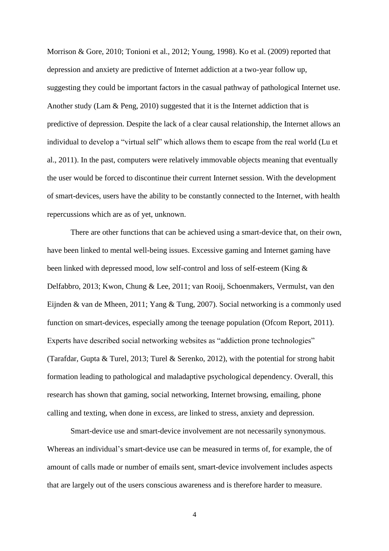[Morrison & Gore, 2010;](#page-18-4) [Tonioni et al., 2012;](#page-19-3) [Young, 1998\)](#page-20-2). Ko et al. [\(2009\)](#page-17-2) reported that depression and anxiety are predictive of Internet addiction at a two-year follow up, suggesting they could be important factors in the casual pathway of pathological Internet use. Another study [\(Lam & Peng, 2010\)](#page-18-3) suggested that it is the Internet addiction that is predictive of depression. Despite the lack of a clear causal relationship, the Internet allows an individual to develop a "virtual self" which allows them to escape from the real world [\(Lu et](#page-18-2)  [al., 2011\)](#page-18-2). In the past, computers were relatively immovable objects meaning that eventually the user would be forced to discontinue their current Internet session. With the development of smart-devices, users have the ability to be constantly connected to the Internet, with health repercussions which are as of yet, unknown.

There are other functions that can be achieved using a smart-device that, on their own, have been linked to mental well-being issues. Excessive gaming and Internet gaming have been linked with depressed mood, low self-control and loss of self-esteem [\(King &](#page-17-3)  [Delfabbro, 2013;](#page-17-3) [Kwon, Chung & Lee, 2011;](#page-17-4) [van Rooij, Schoenmakers, Vermulst, van den](#page-20-3)  [Eijnden & van de Mheen, 2011;](#page-20-3) [Yang & Tung, 2007\)](#page-20-4). Social networking is a commonly used function on smart-devices, especially among the teenage population [\(Ofcom Report, 2011\)](#page-18-0). Experts have described social networking websites as "addiction prone technologies" [\(Tarafdar, Gupta & Turel, 2013;](#page-19-4) [Turel & Serenko, 2012\)](#page-20-5), with the potential for strong habit formation leading to pathological and maladaptive psychological dependency. Overall, this research has shown that gaming, social networking, Internet browsing, emailing, phone calling and texting, when done in excess, are linked to stress, anxiety and depression.

Smart-device use and smart-device involvement are not necessarily synonymous. Whereas an individual's smart-device use can be measured in terms of, for example, the of amount of calls made or number of emails sent, smart-device involvement includes aspects that are largely out of the users conscious awareness and is therefore harder to measure.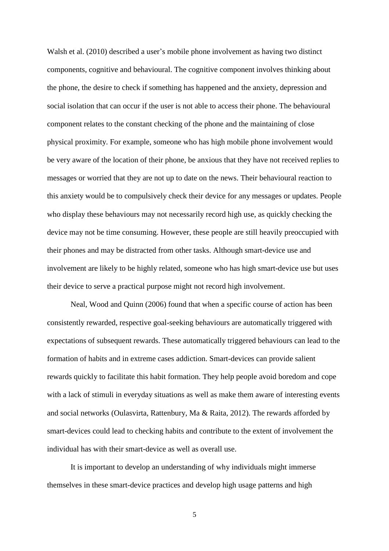Walsh et al. [\(2010\)](#page-20-0) described a user's mobile phone involvement as having two distinct components, cognitive and behavioural. The cognitive component involves thinking about the phone, the desire to check if something has happened and the anxiety, depression and social isolation that can occur if the user is not able to access their phone. The behavioural component relates to the constant checking of the phone and the maintaining of close physical proximity. For example, someone who has high mobile phone involvement would be very aware of the location of their phone, be anxious that they have not received replies to messages or worried that they are not up to date on the news. Their behavioural reaction to this anxiety would be to compulsively check their device for any messages or updates. People who display these behaviours may not necessarily record high use, as quickly checking the device may not be time consuming. However, these people are still heavily preoccupied with their phones and may be distracted from other tasks. Although smart-device use and involvement are likely to be highly related, someone who has high smart-device use but uses their device to serve a practical purpose might not record high involvement.

Neal, Wood and Quinn [\(2006\)](#page-18-5) found that when a specific course of action has been consistently rewarded, respective goal-seeking behaviours are automatically triggered with expectations of subsequent rewards. These automatically triggered behaviours can lead to the formation of habits and in extreme cases addiction. Smart-devices can provide salient rewards quickly to facilitate this habit formation. They help people avoid boredom and cope with a lack of stimuli in everyday situations as well as make them aware of interesting events and social networks [\(Oulasvirta, Rattenbury, Ma & Raita, 2012\)](#page-19-5). The rewards afforded by smart-devices could lead to checking habits and contribute to the extent of involvement the individual has with their smart-device as well as overall use.

It is important to develop an understanding of why individuals might immerse themselves in these smart-device practices and develop high usage patterns and high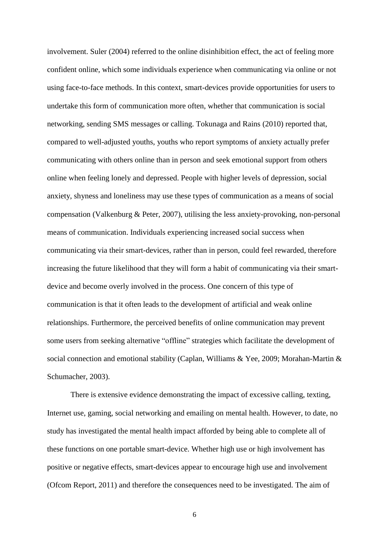involvement. Suler [\(2004\)](#page-19-6) referred to the online disinhibition effect, the act of feeling more confident online, which some individuals experience when communicating via online or not using face-to-face methods. In this context, smart-devices provide opportunities for users to undertake this form of communication more often, whether that communication is social networking, sending SMS messages or calling. Tokunaga and Rains [\(2010\)](#page-19-7) reported that, compared to well-adjusted youths, youths who report symptoms of anxiety actually prefer communicating with others online than in person and seek emotional support from others online when feeling lonely and depressed. People with higher levels of depression, social anxiety, shyness and loneliness may use these types of communication as a means of social compensation [\(Valkenburg & Peter, 2007\)](#page-20-6), utilising the less anxiety-provoking, non-personal means of communication. Individuals experiencing increased social success when communicating via their smart-devices, rather than in person, could feel rewarded, therefore increasing the future likelihood that they will form a habit of communicating via their smartdevice and become overly involved in the process. One concern of this type of communication is that it often leads to the development of artificial and weak online relationships. Furthermore, the perceived benefits of online communication may prevent some users from seeking alternative "offline" strategies which facilitate the development of social connection and emotional stability [\(Caplan, Williams &](#page-17-5) Yee, 2009; [Morahan-Martin &](#page-18-6)  [Schumacher, 2003\)](#page-18-6).

There is extensive evidence demonstrating the impact of excessive calling, texting, Internet use, gaming, social networking and emailing on mental health. However, to date, no study has investigated the mental health impact afforded by being able to complete all of these functions on one portable smart-device. Whether high use or high involvement has positive or negative effects, smart-devices appear to encourage high use and involvement [\(Ofcom Report, 2011\)](#page-18-0) and therefore the consequences need to be investigated. The aim of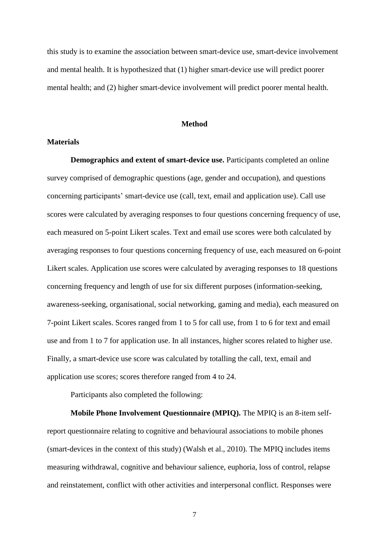this study is to examine the association between smart-device use, smart-device involvement and mental health. It is hypothesized that (1) higher smart-device use will predict poorer mental health; and (2) higher smart-device involvement will predict poorer mental health.

#### **Method**

## **Materials**

**Demographics and extent of smart-device use.** Participants completed an online survey comprised of demographic questions (age, gender and occupation), and questions concerning participants' smart-device use (call, text, email and application use). Call use scores were calculated by averaging responses to four questions concerning frequency of use, each measured on 5-point Likert scales. Text and email use scores were both calculated by averaging responses to four questions concerning frequency of use, each measured on 6-point Likert scales. Application use scores were calculated by averaging responses to 18 questions concerning frequency and length of use for six different purposes (information-seeking, awareness-seeking, organisational, social networking, gaming and media), each measured on 7-point Likert scales. Scores ranged from 1 to 5 for call use, from 1 to 6 for text and email use and from 1 to 7 for application use. In all instances, higher scores related to higher use. Finally, a smart-device use score was calculated by totalling the call, text, email and application use scores; scores therefore ranged from 4 to 24.

Participants also completed the following:

**Mobile Phone Involvement Questionnaire (MPIQ).** The MPIQ is an 8-item selfreport questionnaire relating to cognitive and behavioural associations to mobile phones (smart-devices in the context of this study) [\(Walsh et al., 2010\)](#page-20-0). The MPIQ includes items measuring withdrawal, cognitive and behaviour salience, euphoria, loss of control, relapse and reinstatement, conflict with other activities and interpersonal conflict. Responses were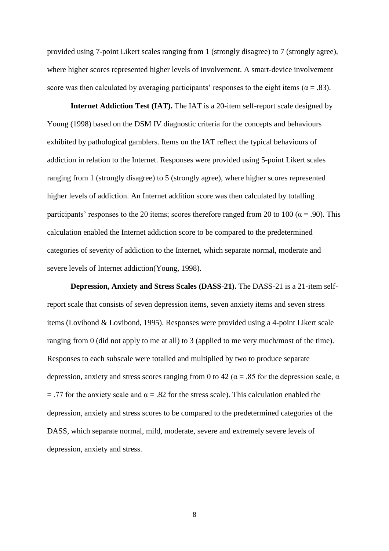provided using 7-point Likert scales ranging from 1 (strongly disagree) to 7 (strongly agree), where higher scores represented higher levels of involvement. A smart-device involvement score was then calculated by averaging participants' responses to the eight items ( $\alpha = .83$ ).

**Internet Addiction Test (IAT).** The IAT is a 20-item self-report scale designed by Young [\(1998\)](#page-20-2) based on the DSM IV diagnostic criteria for the concepts and behaviours exhibited by pathological gamblers. Items on the IAT reflect the typical behaviours of addiction in relation to the Internet. Responses were provided using 5-point Likert scales ranging from 1 (strongly disagree) to 5 (strongly agree), where higher scores represented higher levels of addiction. An Internet addition score was then calculated by totalling participants' responses to the 20 items; scores therefore ranged from 20 to 100 ( $\alpha$  = .90). This calculation enabled the Internet addiction score to be compared to the predetermined categories of severity of addiction to the Internet, which separate normal, moderate and severe levels of Internet addiction[\(Young, 1998\)](#page-20-2).

**Depression, Anxiety and Stress Scales (DASS-21).** The DASS-21 is a 21-item selfreport scale that consists of seven depression items, seven anxiety items and seven stress items [\(Lovibond & Lovibond, 1995\)](#page-18-7). Responses were provided using a 4-point Likert scale ranging from 0 (did not apply to me at all) to 3 (applied to me very much/most of the time). Responses to each subscale were totalled and multiplied by two to produce separate depression, anxiety and stress scores ranging from 0 to 42 ( $\alpha$  = .85 for the depression scale,  $\alpha$ = .77 for the anxiety scale and  $\alpha$  = .82 for the stress scale). This calculation enabled the depression, anxiety and stress scores to be compared to the predetermined categories of the DASS, which separate normal, mild, moderate, severe and extremely severe levels of depression, anxiety and stress.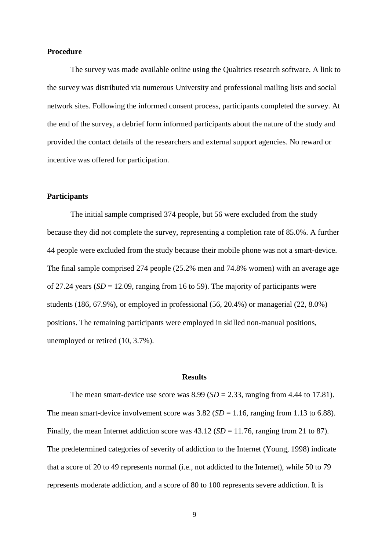#### **Procedure**

The survey was made available online using the Qualtrics research software. A link to the survey was distributed via numerous University and professional mailing lists and social network sites. Following the informed consent process, participants completed the survey. At the end of the survey, a debrief form informed participants about the nature of the study and provided the contact details of the researchers and external support agencies. No reward or incentive was offered for participation.

### **Participants**

The initial sample comprised 374 people, but 56 were excluded from the study because they did not complete the survey, representing a completion rate of 85.0%. A further 44 people were excluded from the study because their mobile phone was not a smart-device. The final sample comprised 274 people (25.2% men and 74.8% women) with an average age of 27.24 years  $(SD = 12.09$ , ranging from 16 to 59). The majority of participants were students (186, 67.9%), or employed in professional (56, 20.4%) or managerial (22, 8.0%) positions. The remaining participants were employed in skilled non-manual positions, unemployed or retired (10, 3.7%).

#### **Results**

The mean smart-device use score was  $8.99$  (*SD* = 2.33, ranging from 4.44 to 17.81). The mean smart-device involvement score was  $3.82$  (*SD* = 1.16, ranging from 1.13 to 6.88). Finally, the mean Internet addiction score was  $43.12$  (*SD* = 11.76, ranging from 21 to 87). The predetermined categories of severity of addiction to the Internet (Young, 1998) indicate that a score of 20 to 49 represents normal (i.e., not addicted to the Internet), while 50 to 79 represents moderate addiction, and a score of 80 to 100 represents severe addiction. It is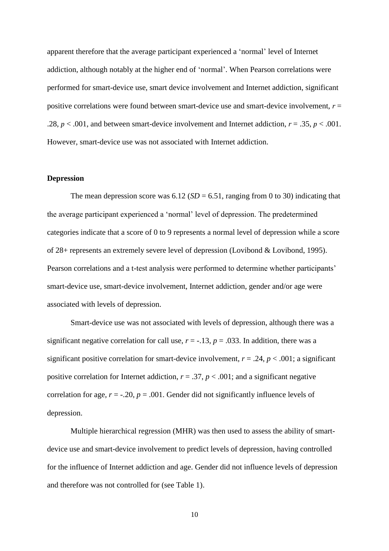apparent therefore that the average participant experienced a 'normal' level of Internet addiction, although notably at the higher end of 'normal'. When Pearson correlations were performed for smart-device use, smart device involvement and Internet addiction, significant positive correlations were found between smart-device use and smart-device involvement, *r* = .28,  $p < .001$ , and between smart-device involvement and Internet addiction,  $r = .35$ ,  $p < .001$ . However, smart-device use was not associated with Internet addiction.

### **Depression**

The mean depression score was  $6.12$  (*SD* = 6.51, ranging from 0 to 30) indicating that the average participant experienced a 'normal' level of depression. The predetermined categories indicate that a score of 0 to 9 represents a normal level of depression while a score of 28+ represents an extremely severe level of depression (Lovibond & Lovibond, 1995). Pearson correlations and a t-test analysis were performed to determine whether participants' smart-device use, smart-device involvement, Internet addiction, gender and/or age were associated with levels of depression.

Smart-device use was not associated with levels of depression, although there was a significant negative correlation for call use,  $r = -13$ ,  $p = .033$ . In addition, there was a significant positive correlation for smart-device involvement,  $r = .24$ ,  $p < .001$ ; a significant positive correlation for Internet addiction,  $r = .37$ ,  $p < .001$ ; and a significant negative correlation for age,  $r = -0.20$ ,  $p = 0.001$ . Gender did not significantly influence levels of depression.

Multiple hierarchical regression (MHR) was then used to assess the ability of smartdevice use and smart-device involvement to predict levels of depression, having controlled for the influence of Internet addiction and age. Gender did not influence levels of depression and therefore was not controlled for (see Table 1).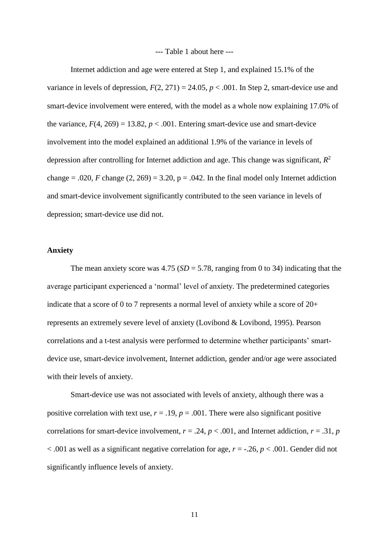#### --- Table 1 about here ---

Internet addiction and age were entered at Step 1, and explained 15.1% of the variance in levels of depression,  $F(2, 271) = 24.05$ ,  $p < .001$ . In Step 2, smart-device use and smart-device involvement were entered, with the model as a whole now explaining 17.0% of the variance,  $F(4, 269) = 13.82$ ,  $p < .001$ . Entering smart-device use and smart-device involvement into the model explained an additional 1.9% of the variance in levels of depression after controlling for Internet addiction and age. This change was significant, *R* 2 change = .020, *F* change  $(2, 269) = 3.20$ ,  $p = .042$ . In the final model only Internet addiction and smart-device involvement significantly contributed to the seen variance in levels of depression; smart-device use did not.

### **Anxiety**

The mean anxiety score was  $4.75$  ( $SD = 5.78$ , ranging from 0 to 34) indicating that the average participant experienced a 'normal' level of anxiety. The predetermined categories indicate that a score of 0 to 7 represents a normal level of anxiety while a score of 20+ represents an extremely severe level of anxiety (Lovibond & Lovibond, 1995). Pearson correlations and a t-test analysis were performed to determine whether participants' smartdevice use, smart-device involvement, Internet addiction, gender and/or age were associated with their levels of anxiety.

Smart-device use was not associated with levels of anxiety, although there was a positive correlation with text use,  $r = .19$ ,  $p = .001$ . There were also significant positive correlations for smart-device involvement,  $r = .24$ ,  $p < .001$ , and Internet addiction,  $r = .31$ ,  $p = .001$ < .001 as well as a significant negative correlation for age, *r* = -.26, *p* < .001. Gender did not significantly influence levels of anxiety.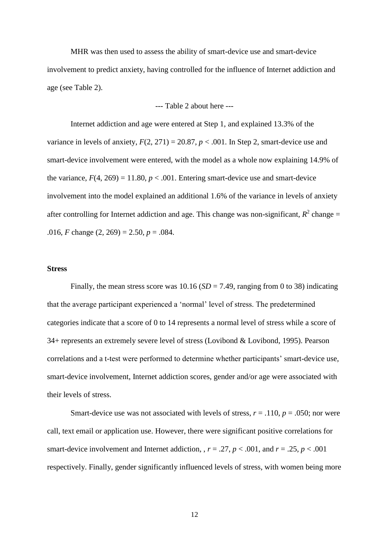MHR was then used to assess the ability of smart-device use and smart-device involvement to predict anxiety, having controlled for the influence of Internet addiction and age (see Table 2).

--- Table 2 about here ---

Internet addiction and age were entered at Step 1, and explained 13.3% of the variance in levels of anxiety,  $F(2, 271) = 20.87$ ,  $p < .001$ . In Step 2, smart-device use and smart-device involvement were entered, with the model as a whole now explaining 14.9% of the variance,  $F(4, 269) = 11.80$ ,  $p < .001$ . Entering smart-device use and smart-device involvement into the model explained an additional 1.6% of the variance in levels of anxiety after controlling for Internet addiction and age. This change was non-significant,  $R^2$  change = .016, *F* change  $(2, 269) = 2.50$ ,  $p = .084$ .

### **Stress**

Finally, the mean stress score was  $10.16$  (*SD* = 7.49, ranging from 0 to 38) indicating that the average participant experienced a 'normal' level of stress. The predetermined categories indicate that a score of 0 to 14 represents a normal level of stress while a score of 34+ represents an extremely severe level of stress (Lovibond & Lovibond, 1995). Pearson correlations and a t-test were performed to determine whether participants' smart-device use, smart-device involvement, Internet addiction scores, gender and/or age were associated with their levels of stress.

Smart-device use was not associated with levels of stress,  $r = .110$ ,  $p = .050$ ; nor were call, text email or application use. However, there were significant positive correlations for smart-device involvement and Internet addiction,  $r = .27$ ,  $p < .001$ , and  $r = .25$ ,  $p < .001$ respectively. Finally, gender significantly influenced levels of stress, with women being more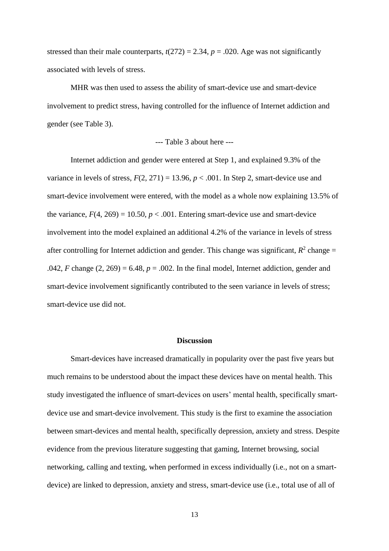stressed than their male counterparts,  $t(272) = 2.34$ ,  $p = .020$ . Age was not significantly associated with levels of stress.

MHR was then used to assess the ability of smart-device use and smart-device involvement to predict stress, having controlled for the influence of Internet addiction and gender (see Table 3).

## --- Table 3 about here ---

Internet addiction and gender were entered at Step 1, and explained 9.3% of the variance in levels of stress,  $F(2, 271) = 13.96$ ,  $p < .001$ . In Step 2, smart-device use and smart-device involvement were entered, with the model as a whole now explaining 13.5% of the variance,  $F(4, 269) = 10.50$ ,  $p < .001$ . Entering smart-device use and smart-device involvement into the model explained an additional 4.2% of the variance in levels of stress after controlling for Internet addiction and gender. This change was significant,  $R^2$  change = .042, *F* change  $(2, 269) = 6.48$ ,  $p = .002$ . In the final model, Internet addiction, gender and smart-device involvement significantly contributed to the seen variance in levels of stress; smart-device use did not.

## **Discussion**

Smart-devices have increased dramatically in popularity over the past five years but much remains to be understood about the impact these devices have on mental health. This study investigated the influence of smart-devices on users' mental health, specifically smartdevice use and smart-device involvement. This study is the first to examine the association between smart-devices and mental health, specifically depression, anxiety and stress. Despite evidence from the previous literature suggesting that gaming, Internet browsing, social networking, calling and texting, when performed in excess individually (i.e., not on a smartdevice) are linked to depression, anxiety and stress, smart-device use (i.e., total use of all of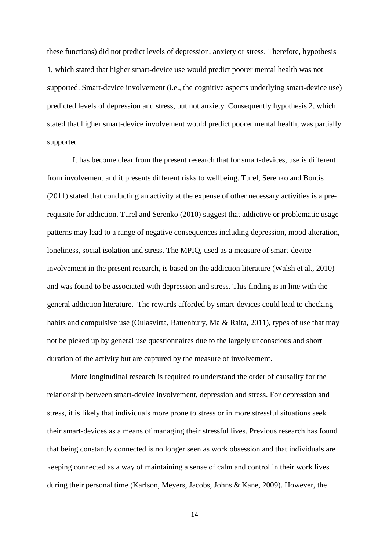these functions) did not predict levels of depression, anxiety or stress. Therefore, hypothesis 1, which stated that higher smart-device use would predict poorer mental health was not supported. Smart-device involvement (i.e., the cognitive aspects underlying smart-device use) predicted levels of depression and stress, but not anxiety. Consequently hypothesis 2, which stated that higher smart-device involvement would predict poorer mental health, was partially supported.

It has become clear from the present research that for smart-devices, use is different from involvement and it presents different risks to wellbeing. Turel, Serenko and Bontis [\(2011\)](#page-20-7) stated that conducting an activity at the expense of other necessary activities is a prerequisite for addiction. Turel and Serenko [\(2010\)](#page-20-8) suggest that addictive or problematic usage patterns may lead to a range of negative consequences including depression, mood alteration, loneliness, social isolation and stress. The MPIQ, used as a measure of smart-device involvement in the present research, is based on the addiction literature [\(Walsh et al., 2010\)](#page-20-0) and was found to be associated with depression and stress. This finding is in line with the general addiction literature. The rewards afforded by smart-devices could lead to checking habits and compulsive use [\(Oulasvirta, Rattenbury, Ma & Raita, 2011\)](#page-19-8), types of use that may not be picked up by general use questionnaires due to the largely unconscious and short duration of the activity but are captured by the measure of involvement.

More longitudinal research is required to understand the order of causality for the relationship between smart-device involvement, depression and stress. For depression and stress, it is likely that individuals more prone to stress or in more stressful situations seek their smart-devices as a means of managing their stressful lives. Previous research has found that being constantly connected is no longer seen as work obsession and that individuals are keeping connected as a way of maintaining a sense of calm and control in their work lives during their personal time [\(Karlson, Meyers, Jacobs, Johns & Kane, 2009\)](#page-17-6). However, the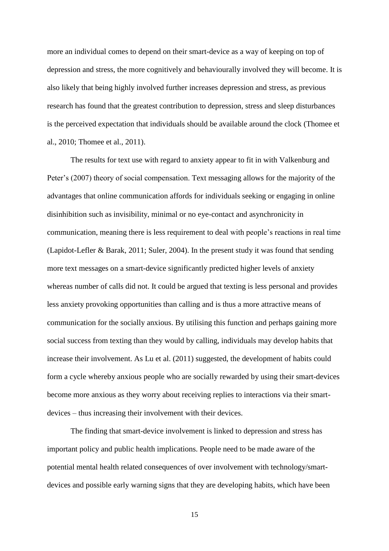more an individual comes to depend on their smart-device as a way of keeping on top of depression and stress, the more cognitively and behaviourally involved they will become. It is also likely that being highly involved further increases depression and stress, as previous research has found that the greatest contribution to depression, stress and sleep disturbances is the perceived expectation that individuals should be available around the clock [\(Thomee et](#page-19-1)  [al., 2010;](#page-19-1) [Thomee et al., 2011\)](#page-19-2).

The results for text use with regard to anxiety appear to fit in with Valkenburg and Peter's (2007) theory of social compensation. Text messaging allows for the majority of the advantages that online communication affords for individuals seeking or engaging in online disinhibition such as invisibility, minimal or no eye-contact and asynchronicity in communication, meaning there is less requirement to deal with people's reactions in real time [\(Lapidot-Lefler & Barak, 2011;](#page-18-8) [Suler, 2004\)](#page-19-6). In the present study it was found that sending more text messages on a smart-device significantly predicted higher levels of anxiety whereas number of calls did not. It could be argued that texting is less personal and provides less anxiety provoking opportunities than calling and is thus a more attractive means of communication for the socially anxious. By utilising this function and perhaps gaining more social success from texting than they would by calling, individuals may develop habits that increase their involvement. As Lu et al. [\(2011\)](#page-18-2) suggested, the development of habits could form a cycle whereby anxious people who are socially rewarded by using their smart-devices become more anxious as they worry about receiving replies to interactions via their smartdevices – thus increasing their involvement with their devices.

The finding that smart-device involvement is linked to depression and stress has important policy and public health implications. People need to be made aware of the potential mental health related consequences of over involvement with technology/smartdevices and possible early warning signs that they are developing habits, which have been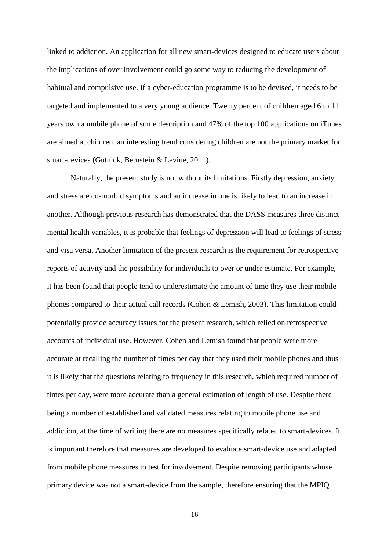linked to addiction. An application for all new smart-devices designed to educate users about the implications of over involvement could go some way to reducing the development of habitual and compulsive use. If a cyber-education programme is to be devised, it needs to be targeted and implemented to a very young audience. Twenty percent of children aged 6 to 11 years own a mobile phone of some description and 47% of the top 100 applications on iTunes are aimed at children, an interesting trend considering children are not the primary market for smart-devices [\(Gutnick, Bernstein & Levine, 2011\)](#page-17-7).

Naturally, the present study is not without its limitations. Firstly depression, anxiety and stress are co-morbid symptoms and an increase in one is likely to lead to an increase in another. Although previous research has demonstrated that the DASS measures three distinct mental health variables, it is probable that feelings of depression will lead to feelings of stress and visa versa. Another limitation of the present research is the requirement for retrospective reports of activity and the possibility for individuals to over or under estimate. For example, it has been found that people tend to underestimate the amount of time they use their mobile phones compared to their actual call records [\(Cohen & Lemish, 2003\)](#page-17-8). This limitation could potentially provide accuracy issues for the present research, which relied on retrospective accounts of individual use. However, Cohen and Lemish found that people were more accurate at recalling the number of times per day that they used their mobile phones and thus it is likely that the questions relating to frequency in this research, which required number of times per day, were more accurate than a general estimation of length of use. Despite there being a number of established and validated measures relating to mobile phone use and addiction, at the time of writing there are no measures specifically related to smart-devices. It is important therefore that measures are developed to evaluate smart-device use and adapted from mobile phone measures to test for involvement. Despite removing participants whose primary device was not a smart-device from the sample, therefore ensuring that the MPIQ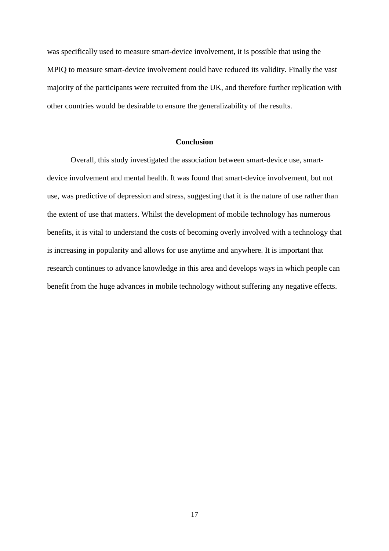was specifically used to measure smart-device involvement, it is possible that using the MPIQ to measure smart-device involvement could have reduced its validity. Finally the vast majority of the participants were recruited from the UK, and therefore further replication with other countries would be desirable to ensure the generalizability of the results.

## **Conclusion**

Overall, this study investigated the association between smart-device use, smartdevice involvement and mental health. It was found that smart-device involvement, but not use, was predictive of depression and stress, suggesting that it is the nature of use rather than the extent of use that matters. Whilst the development of mobile technology has numerous benefits, it is vital to understand the costs of becoming overly involved with a technology that is increasing in popularity and allows for use anytime and anywhere. It is important that research continues to advance knowledge in this area and develops ways in which people can benefit from the huge advances in mobile technology without suffering any negative effects.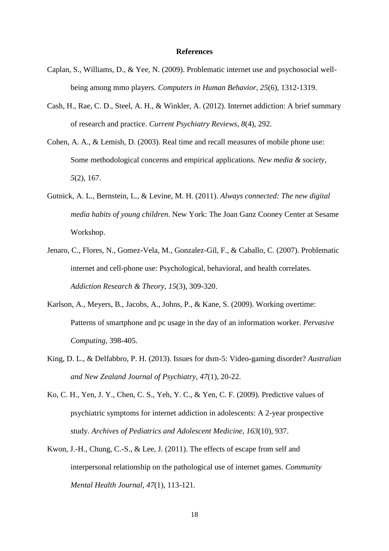#### **References**

- <span id="page-17-5"></span>Caplan, S., Williams, D., & Yee, N. (2009). Problematic internet use and psychosocial wellbeing among mmo players. *Computers in Human Behavior*, *25*(6), 1312-1319.
- <span id="page-17-1"></span>Cash, H., Rae, C. D., Steel, A. H., & Winkler, A. (2012). Internet addiction: A brief summary of research and practice. *Current Psychiatry Reviews*, *8*(4), 292.
- <span id="page-17-8"></span>Cohen, A. A., & Lemish, D. (2003). Real time and recall measures of mobile phone use: Some methodological concerns and empirical applications. *New media & society*, *5*(2), 167.
- <span id="page-17-7"></span>Gutnick, A. L., Bernstein, L., & Levine, M. H. (2011). *Always connected: The new digital media habits of young children*. New York: The Joan Ganz Cooney Center at Sesame Workshop.
- <span id="page-17-0"></span>Jenaro, C., Flores, N., Gomez-Vela, M., Gonzalez-Gil, F., & Caballo, C. (2007). Problematic internet and cell-phone use: Psychological, behavioral, and health correlates. *Addiction Research & Theory*, *15*(3), 309-320.
- <span id="page-17-6"></span>Karlson, A., Meyers, B., Jacobs, A., Johns, P., & Kane, S. (2009). Working overtime: Patterns of smartphone and pc usage in the day of an information worker. *Pervasive Computing*, 398-405.
- <span id="page-17-3"></span>King, D. L., & Delfabbro, P. H. (2013). Issues for dsm-5: Video-gaming disorder? *Australian and New Zealand Journal of Psychiatry*, *47*(1), 20-22.
- <span id="page-17-2"></span>Ko, C. H., Yen, J. Y., Chen, C. S., Yeh, Y. C., & Yen, C. F. (2009). Predictive values of psychiatric symptoms for internet addiction in adolescents: A 2-year prospective study. *Archives of Pediatrics and Adolescent Medicine*, *163*(10), 937.
- <span id="page-17-4"></span>Kwon, J.-H., Chung, C.-S., & Lee, J. (2011). The effects of escape from self and interpersonal relationship on the pathological use of internet games. *Community Mental Health Journal*, *47*(1), 113-121.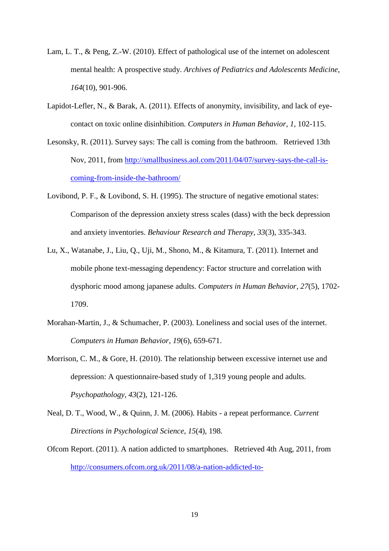- <span id="page-18-3"></span>Lam, L. T., & Peng, Z.-W. (2010). Effect of pathological use of the internet on adolescent mental health: A prospective study. *Archives of Pediatrics and Adolescents Medicine*, *164*(10), 901-906.
- <span id="page-18-8"></span>Lapidot-Lefler, N., & Barak, A. (2011). Effects of anonymity, invisibility, and lack of eyecontact on toxic online disinhibition. *Computers in Human Behavior*, *1*, 102-115.
- <span id="page-18-1"></span>Lesonsky, R. (2011). Survey says: The call is coming from the bathroom. Retrieved 13th Nov, 2011, from [http://smallbusiness.aol.com/2011/04/07/survey-says-the-call-is](http://smallbusiness.aol.com/2011/04/07/survey-says-the-call-is-coming-from-inside-the-bathroom/)[coming-from-inside-the-bathroom/](http://smallbusiness.aol.com/2011/04/07/survey-says-the-call-is-coming-from-inside-the-bathroom/)
- <span id="page-18-7"></span>Lovibond, P. F., & Lovibond, S. H. (1995). The structure of negative emotional states: Comparison of the depression anxiety stress scales (dass) with the beck depression and anxiety inventories. *Behaviour Research and Therapy*, *33*(3), 335-343.
- <span id="page-18-2"></span>Lu, X., Watanabe, J., Liu, Q., Uji, M., Shono, M., & Kitamura, T. (2011). Internet and mobile phone text-messaging dependency: Factor structure and correlation with dysphoric mood among japanese adults. *Computers in Human Behavior*, *27*(5), 1702- 1709.
- <span id="page-18-6"></span>Morahan-Martin, J., & Schumacher, P. (2003). Loneliness and social uses of the internet. *Computers in Human Behavior*, *19*(6), 659-671.
- <span id="page-18-4"></span>Morrison, C. M., & Gore, H. (2010). The relationship between excessive internet use and depression: A questionnaire-based study of 1,319 young people and adults. *Psychopathology*, *43*(2), 121-126.
- <span id="page-18-5"></span>Neal, D. T., Wood, W., & Quinn, J. M. (2006). Habits - a repeat performance. *Current Directions in Psychological Science*, *15*(4), 198.
- <span id="page-18-0"></span>Ofcom Report. (2011). A nation addicted to smartphones. Retrieved 4th Aug, 2011, from [http://consumers.ofcom.org.uk/2011/08/a-nation-addicted-to-](http://consumers.ofcom.org.uk/2011/08/a-nation-addicted-to-smartphones/?utm_source=Twitter&utm_medium=Tweet&utm_campaign=CMR2011cons)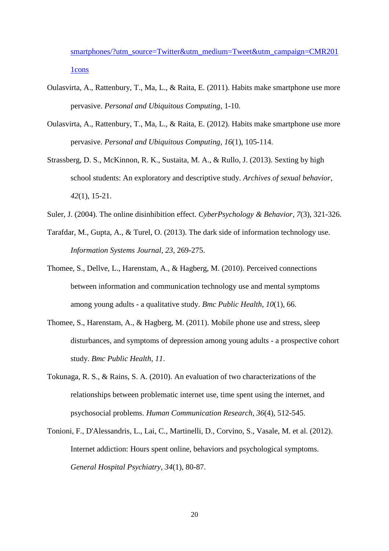[smartphones/?utm\\_source=Twitter&utm\\_medium=Tweet&utm\\_campaign=CMR201](http://consumers.ofcom.org.uk/2011/08/a-nation-addicted-to-smartphones/?utm_source=Twitter&utm_medium=Tweet&utm_campaign=CMR2011cons) [1cons](http://consumers.ofcom.org.uk/2011/08/a-nation-addicted-to-smartphones/?utm_source=Twitter&utm_medium=Tweet&utm_campaign=CMR2011cons)

- <span id="page-19-8"></span>Oulasvirta, A., Rattenbury, T., Ma, L., & Raita, E. (2011). Habits make smartphone use more pervasive. *Personal and Ubiquitous Computing*, 1-10.
- <span id="page-19-5"></span>Oulasvirta, A., Rattenbury, T., Ma, L., & Raita, E. (2012). Habits make smartphone use more pervasive. *Personal and Ubiquitous Computing*, *16*(1), 105-114.
- <span id="page-19-0"></span>Strassberg, D. S., McKinnon, R. K., Sustaita, M. A., & Rullo, J. (2013). Sexting by high school students: An exploratory and descriptive study. *Archives of sexual behavior*, *42*(1), 15-21.
- <span id="page-19-6"></span>Suler, J. (2004). The online disinhibition effect. *CyberPsychology & Behavior*, *7*(3), 321-326.
- <span id="page-19-4"></span>Tarafdar, M., Gupta, A., & Turel, O. (2013). The dark side of information technology use. *Information Systems Journal*, *23*, 269-275.
- <span id="page-19-1"></span>Thomee, S., Dellve, L., Harenstam, A., & Hagberg, M. (2010). Perceived connections between information and communication technology use and mental symptoms among young adults - a qualitative study. *Bmc Public Health*, *10*(1), 66.
- <span id="page-19-2"></span>Thomee, S., Harenstam, A., & Hagberg, M. (2011). Mobile phone use and stress, sleep disturbances, and symptoms of depression among young adults - a prospective cohort study. *Bmc Public Health*, *11*.
- <span id="page-19-7"></span>Tokunaga, R. S., & Rains, S. A. (2010). An evaluation of two characterizations of the relationships between problematic internet use, time spent using the internet, and psychosocial problems. *Human Communication Research*, *36*(4), 512-545.
- <span id="page-19-3"></span>Tonioni, F., D'Alessandris, L., Lai, C., Martinelli, D., Corvino, S., Vasale, M. et al. (2012). Internet addiction: Hours spent online, behaviors and psychological symptoms. *General Hospital Psychiatry*, *34*(1), 80-87.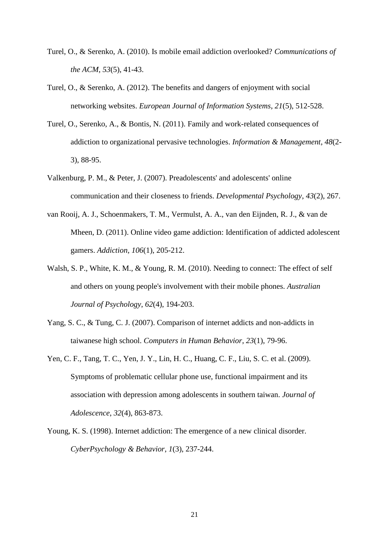- <span id="page-20-8"></span>Turel, O., & Serenko, A. (2010). Is mobile email addiction overlooked? *Communications of the ACM*, *53*(5), 41-43.
- <span id="page-20-5"></span>Turel, O., & Serenko, A. (2012). The benefits and dangers of enjoyment with social networking websites. *European Journal of Information Systems*, *21*(5), 512-528.
- <span id="page-20-7"></span>Turel, O., Serenko, A., & Bontis, N. (2011). Family and work-related consequences of addiction to organizational pervasive technologies. *Information & Management*, *48*(2- 3), 88-95.
- <span id="page-20-6"></span>Valkenburg, P. M., & Peter, J. (2007). Preadolescents' and adolescents' online communication and their closeness to friends. *Developmental Psychology*, *43*(2), 267.
- <span id="page-20-3"></span>van Rooij, A. J., Schoenmakers, T. M., Vermulst, A. A., van den Eijnden, R. J., & van de Mheen, D. (2011). Online video game addiction: Identification of addicted adolescent gamers. *Addiction*, *106*(1), 205-212.
- <span id="page-20-0"></span>Walsh, S. P., White, K. M., & Young, R. M. (2010). Needing to connect: The effect of self and others on young people's involvement with their mobile phones. *Australian Journal of Psychology*, *62*(4), 194-203.
- <span id="page-20-4"></span>Yang, S. C., & Tung, C. J. (2007). Comparison of internet addicts and non-addicts in taiwanese high school. *Computers in Human Behavior*, *23*(1), 79-96.
- <span id="page-20-1"></span>Yen, C. F., Tang, T. C., Yen, J. Y., Lin, H. C., Huang, C. F., Liu, S. C. et al. (2009). Symptoms of problematic cellular phone use, functional impairment and its association with depression among adolescents in southern taiwan. *Journal of Adolescence*, *32*(4), 863-873.
- <span id="page-20-2"></span>Young, K. S. (1998). Internet addiction: The emergence of a new clinical disorder. *CyberPsychology & Behavior*, *1*(3), 237-244.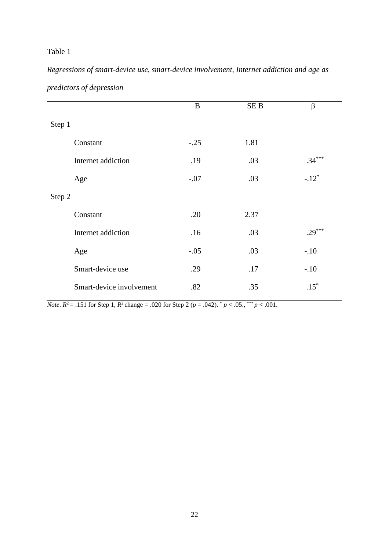# Table 1

*Regressions of smart-device use, smart-device involvement, Internet addiction and age as predictors of depression*

|                    |                          | $\bf{B}$ | SE <sub>B</sub> | $\beta$             |  |
|--------------------|--------------------------|----------|-----------------|---------------------|--|
| Step 1             |                          |          |                 |                     |  |
| Constant           |                          | $-.25$   | 1.81            |                     |  |
| Internet addiction |                          | .19      | .03             | $.34***$            |  |
| Age                |                          | $-.07$   | .03             | $-.12$ <sup>*</sup> |  |
| Step 2             |                          |          |                 |                     |  |
| Constant           |                          | .20      | 2.37            |                     |  |
| Internet addiction |                          | .16      | .03             | $.29***$            |  |
| Age                |                          | $-.05$   | .03             | $-.10$              |  |
| Smart-device use   |                          | .29      | .17             | $-.10$              |  |
|                    | Smart-device involvement | .82      | .35             | $.15*$              |  |

*Note*.  $R^2$  = .151 for Step 1,  $R^2$  change = .020 for Step 2 ( $p$  = .042).  $^*$   $p$  < .05.,  $^{***}$   $p$  < .001.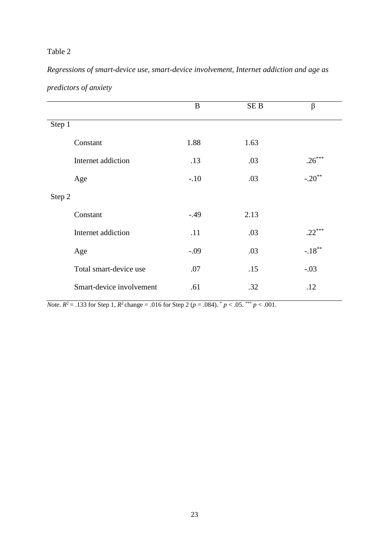# Table 2

*Regressions of smart-device use, smart-device involvement, Internet addiction and age as predictors of anxiety*

|                          | B      | SE <sub>B</sub> | $\beta$   |
|--------------------------|--------|-----------------|-----------|
| Step 1                   |        |                 |           |
| Constant                 | 1.88   | 1.63            |           |
| Internet addiction       | .13    | .03             | $.26***$  |
| Age                      | $-.10$ | .03             | $-.20**$  |
| Step 2                   |        |                 |           |
| Constant                 | $-.49$ | 2.13            |           |
| Internet addiction       | .11    | .03             | $.22***$  |
| Age                      | $-.09$ | .03             | $-.18***$ |
| Total smart-device use   | .07    | .15             | $-.03$    |
| Smart-device involvement | .61    | .32             | .12       |

*Note*.  $R^2$  = .133 for Step 1,  $R^2$  change = .016 for Step 2 ( $p$  = .084).  $^*$   $p$  < .05.  $^{***}$   $p$  < .001.